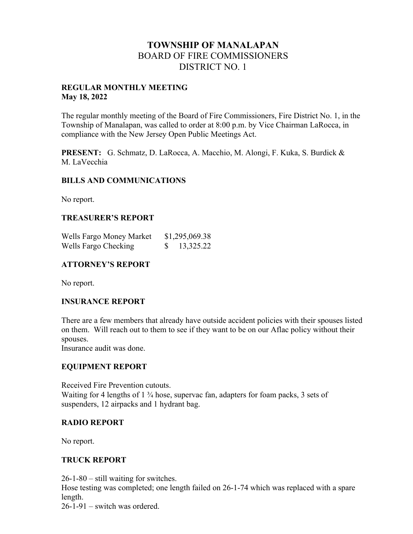# **TOWNSHIP OF MANALAPAN** BOARD OF FIRE COMMISSIONERS DISTRICT NO. 1

#### **REGULAR MONTHLY MEETING May 18, 2022**

The regular monthly meeting of the Board of Fire Commissioners, Fire District No. 1, in the Township of Manalapan, was called to order at 8:00 p.m. by Vice Chairman LaRocca, in compliance with the New Jersey Open Public Meetings Act.

**PRESENT:** G. Schmatz, D. LaRocca, A. Macchio, M. Alongi, F. Kuka, S. Burdick & M. LaVecchia

### **BILLS AND COMMUNICATIONS**

No report.

### **TREASURER'S REPORT**

| Wells Fargo Money Market | \$1,295,069.38 |  |
|--------------------------|----------------|--|
| Wells Fargo Checking     | 13,325.22      |  |

### **ATTORNEY'S REPORT**

No report.

### **INSURANCE REPORT**

There are a few members that already have outside accident policies with their spouses listed on them. Will reach out to them to see if they want to be on our Aflac policy without their spouses.

Insurance audit was done.

### **EQUIPMENT REPORT**

Received Fire Prevention cutouts. Waiting for 4 lengths of 1  $\frac{3}{4}$  hose, supervac fan, adapters for foam packs, 3 sets of suspenders, 12 airpacks and 1 hydrant bag.

### **RADIO REPORT**

No report.

## **TRUCK REPORT**

26-1-80 – still waiting for switches.

Hose testing was completed; one length failed on 26-1-74 which was replaced with a spare length.

26-1-91 – switch was ordered.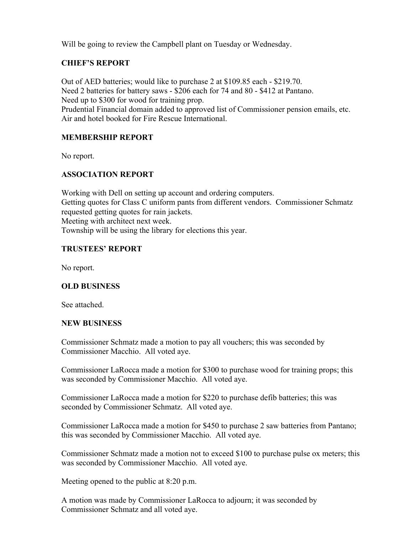Will be going to review the Campbell plant on Tuesday or Wednesday.

# **CHIEF'S REPORT**

Out of AED batteries; would like to purchase 2 at \$109.85 each - \$219.70. Need 2 batteries for battery saws - \$206 each for 74 and 80 - \$412 at Pantano. Need up to \$300 for wood for training prop. Prudential Financial domain added to approved list of Commissioner pension emails, etc. Air and hotel booked for Fire Rescue International.

## **MEMBERSHIP REPORT**

No report.

# **ASSOCIATION REPORT**

Working with Dell on setting up account and ordering computers. Getting quotes for Class C uniform pants from different vendors. Commissioner Schmatz requested getting quotes for rain jackets. Meeting with architect next week. Township will be using the library for elections this year.

## **TRUSTEES' REPORT**

No report.

## **OLD BUSINESS**

See attached.

### **NEW BUSINESS**

Commissioner Schmatz made a motion to pay all vouchers; this was seconded by Commissioner Macchio. All voted aye.

Commissioner LaRocca made a motion for \$300 to purchase wood for training props; this was seconded by Commissioner Macchio. All voted aye.

Commissioner LaRocca made a motion for \$220 to purchase defib batteries; this was seconded by Commissioner Schmatz. All voted aye.

Commissioner LaRocca made a motion for \$450 to purchase 2 saw batteries from Pantano; this was seconded by Commissioner Macchio. All voted aye.

Commissioner Schmatz made a motion not to exceed \$100 to purchase pulse ox meters; this was seconded by Commissioner Macchio. All voted aye.

Meeting opened to the public at 8:20 p.m.

A motion was made by Commissioner LaRocca to adjourn; it was seconded by Commissioner Schmatz and all voted aye.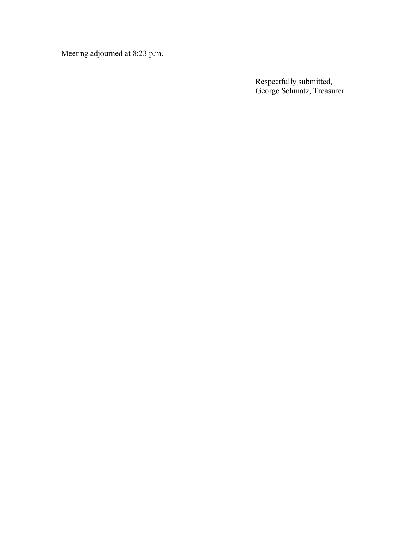Meeting adjourned at 8:23 p.m.

Respectfully submitted, George Schmatz, Treasurer